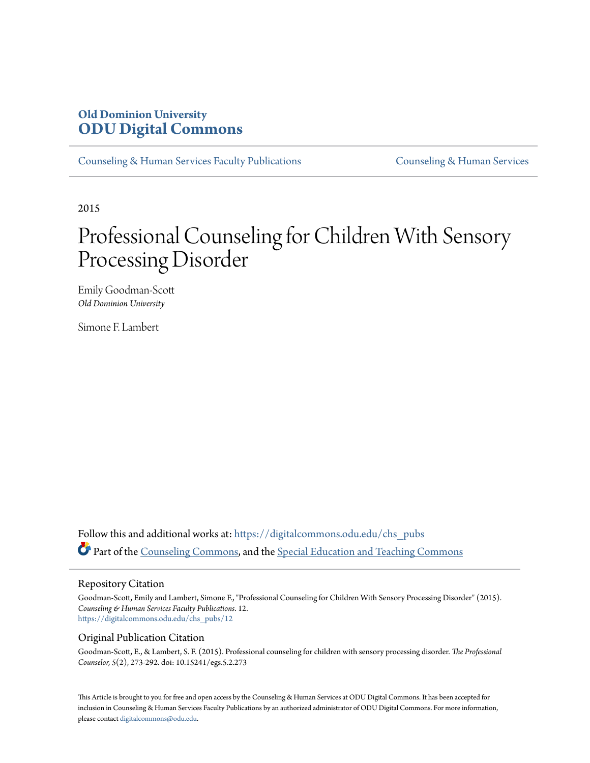# **Old Dominion University [ODU Digital Commons](https://digitalcommons.odu.edu?utm_source=digitalcommons.odu.edu%2Fchs_pubs%2F12&utm_medium=PDF&utm_campaign=PDFCoverPages)**

[Counseling & Human Services Faculty Publications](https://digitalcommons.odu.edu/chs_pubs?utm_source=digitalcommons.odu.edu%2Fchs_pubs%2F12&utm_medium=PDF&utm_campaign=PDFCoverPages) [Counseling & Human Services](https://digitalcommons.odu.edu/chs?utm_source=digitalcommons.odu.edu%2Fchs_pubs%2F12&utm_medium=PDF&utm_campaign=PDFCoverPages)

2015

# Professional Counseling for Children With Sensory Processing Disorder

Emily Goodman-Scott *Old Dominion University*

Simone F. Lambert

Follow this and additional works at: [https://digitalcommons.odu.edu/chs\\_pubs](https://digitalcommons.odu.edu/chs_pubs?utm_source=digitalcommons.odu.edu%2Fchs_pubs%2F12&utm_medium=PDF&utm_campaign=PDFCoverPages) Part of the [Counseling Commons](http://network.bepress.com/hgg/discipline/1268?utm_source=digitalcommons.odu.edu%2Fchs_pubs%2F12&utm_medium=PDF&utm_campaign=PDFCoverPages), and the [Special Education and Teaching Commons](http://network.bepress.com/hgg/discipline/801?utm_source=digitalcommons.odu.edu%2Fchs_pubs%2F12&utm_medium=PDF&utm_campaign=PDFCoverPages)

#### Repository Citation

Goodman-Scott, Emily and Lambert, Simone F., "Professional Counseling for Children With Sensory Processing Disorder" (2015). *Counseling & Human Services Faculty Publications*. 12. [https://digitalcommons.odu.edu/chs\\_pubs/12](https://digitalcommons.odu.edu/chs_pubs/12?utm_source=digitalcommons.odu.edu%2Fchs_pubs%2F12&utm_medium=PDF&utm_campaign=PDFCoverPages)

#### Original Publication Citation

Goodman-Scott, E., & Lambert, S. F. (2015). Professional counseling for children with sensory processing disorder. *The Professional Counselor, 5*(2), 273-292. doi: 10.15241/egs.5.2.273

This Article is brought to you for free and open access by the Counseling & Human Services at ODU Digital Commons. It has been accepted for inclusion in Counseling & Human Services Faculty Publications by an authorized administrator of ODU Digital Commons. For more information, please contact [digitalcommons@odu.edu](mailto:digitalcommons@odu.edu).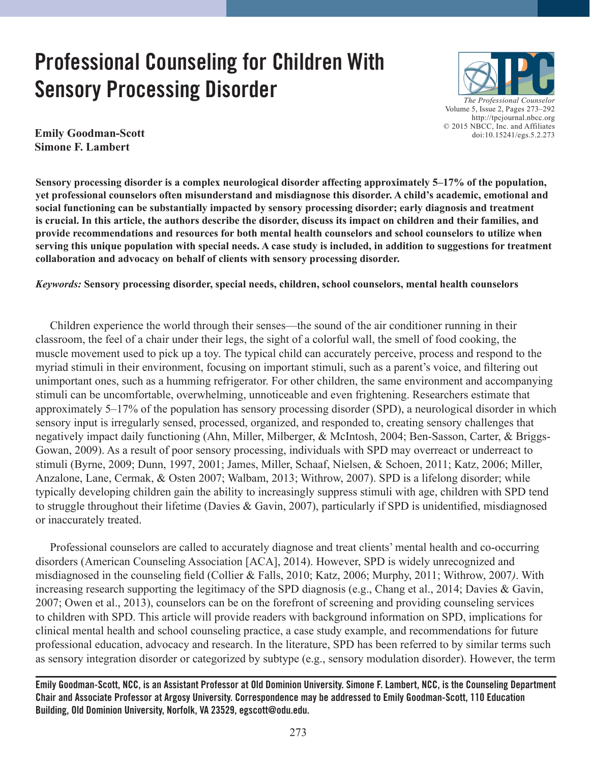# **Professional Counseling for Children With Sensory Processing Disorder**



**Emily Goodman-Scott Simone F. Lambert**

**Sensory processing disorder is a complex neurological disorder affecting approximately 5–17% of the population, yet professional counselors often misunderstand and misdiagnose this disorder. A child's academic, emotional and social functioning can be substantially impacted by sensory processing disorder; early diagnosis and treatment is crucial. In this article, the authors describe the disorder, discuss its impact on children and their families, and provide recommendations and resources for both mental health counselors and school counselors to utilize when serving this unique population with special needs. A case study is included, in addition to suggestions for treatment collaboration and advocacy on behalf of clients with sensory processing disorder.**

*Keywords:* **Sensory processing disorder, special needs, children, school counselors, mental health counselors**

 Children experience the world through their senses—the sound of the air conditioner running in their classroom, the feel of a chair under their legs, the sight of a colorful wall, the smell of food cooking, the muscle movement used to pick up a toy. The typical child can accurately perceive, process and respond to the myriad stimuli in their environment, focusing on important stimuli, such as a parent's voice, and filtering out unimportant ones, such as a humming refrigerator. For other children, the same environment and accompanying stimuli can be uncomfortable, overwhelming, unnoticeable and even frightening. Researchers estimate that approximately 5–17% of the population has sensory processing disorder (SPD), a neurological disorder in which sensory input is irregularly sensed, processed, organized, and responded to, creating sensory challenges that negatively impact daily functioning (Ahn, Miller, Milberger, & McIntosh, 2004; Ben-Sasson, Carter, & Briggs-Gowan, 2009). As a result of poor sensory processing, individuals with SPD may overreact or underreact to stimuli (Byrne, 2009; Dunn, 1997, 2001; James, Miller, Schaaf, Nielsen, & Schoen, 2011; Katz, 2006; Miller, Anzalone, Lane, Cermak, & Osten 2007; Walbam, 2013; Withrow, 2007). SPD is a lifelong disorder; while typically developing children gain the ability to increasingly suppress stimuli with age, children with SPD tend to struggle throughout their lifetime (Davies & Gavin, 2007), particularly if SPD is unidentified, misdiagnosed or inaccurately treated.

 Professional counselors are called to accurately diagnose and treat clients' mental health and co-occurring disorders (American Counseling Association [ACA], 2014). However, SPD is widely unrecognized and misdiagnosed in the counseling field (Collier & Falls, 2010; Katz, 2006; Murphy, 2011; Withrow, 2007*)*. With increasing research supporting the legitimacy of the SPD diagnosis (e.g., Chang et al., 2014; Davies & Gavin, 2007; Owen et al., 2013), counselors can be on the forefront of screening and providing counseling services to children with SPD. This article will provide readers with background information on SPD, implications for clinical mental health and school counseling practice, a case study example, and recommendations for future professional education, advocacy and research. In the literature, SPD has been referred to by similar terms such as sensory integration disorder or categorized by subtype (e.g., sensory modulation disorder). However, the term

**Emily Goodman-Scott, NCC, is an Assistant Professor at Old Dominion University. Simone F. Lambert, NCC, is the Counseling Department Chair and Associate Professor at Argosy University. Correspondence may be addressed to Emily Goodman-Scott, 110 Education Building, Old Dominion University, Norfolk, VA 23529, egscott@odu.edu.**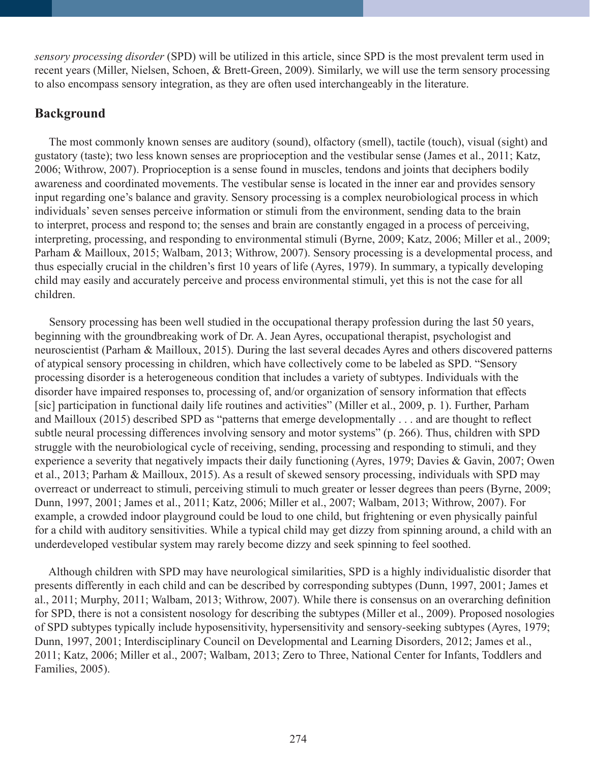*sensory processing disorder* (SPD) will be utilized in this article, since SPD is the most prevalent term used in recent years (Miller, Nielsen, Schoen, & Brett-Green, 2009). Similarly, we will use the term sensory processing to also encompass sensory integration, as they are often used interchangeably in the literature.

# **Background**

 The most commonly known senses are auditory (sound), olfactory (smell), tactile (touch), visual (sight) and gustatory (taste); two less known senses are proprioception and the vestibular sense (James et al., 2011; Katz, 2006; Withrow, 2007). Proprioception is a sense found in muscles, tendons and joints that deciphers bodily awareness and coordinated movements. The vestibular sense is located in the inner ear and provides sensory input regarding one's balance and gravity. Sensory processing is a complex neurobiological process in which individuals' seven senses perceive information or stimuli from the environment, sending data to the brain to interpret, process and respond to; the senses and brain are constantly engaged in a process of perceiving, interpreting, processing, and responding to environmental stimuli (Byrne, 2009; Katz, 2006; Miller et al., 2009; Parham & Mailloux, 2015; Walbam, 2013; Withrow, 2007). Sensory processing is a developmental process, and thus especially crucial in the children's first 10 years of life (Ayres, 1979). In summary, a typically developing child may easily and accurately perceive and process environmental stimuli, yet this is not the case for all children.

 Sensory processing has been well studied in the occupational therapy profession during the last 50 years, beginning with the groundbreaking work of Dr. A. Jean Ayres, occupational therapist, psychologist and neuroscientist (Parham & Mailloux, 2015). During the last several decades Ayres and others discovered patterns of atypical sensory processing in children, which have collectively come to be labeled as SPD. "Sensory processing disorder is a heterogeneous condition that includes a variety of subtypes. Individuals with the disorder have impaired responses to, processing of, and/or organization of sensory information that effects [sic] participation in functional daily life routines and activities" (Miller et al., 2009, p. 1). Further, Parham and Mailloux (2015) described SPD as "patterns that emerge developmentally . . . and are thought to reflect subtle neural processing differences involving sensory and motor systems" (p. 266). Thus, children with SPD struggle with the neurobiological cycle of receiving, sending, processing and responding to stimuli, and they experience a severity that negatively impacts their daily functioning (Ayres, 1979; Davies & Gavin, 2007; Owen et al., 2013; Parham & Mailloux, 2015). As a result of skewed sensory processing, individuals with SPD may overreact or underreact to stimuli, perceiving stimuli to much greater or lesser degrees than peers (Byrne, 2009; Dunn, 1997, 2001; James et al., 2011; Katz, 2006; Miller et al., 2007; Walbam, 2013; Withrow, 2007). For example, a crowded indoor playground could be loud to one child, but frightening or even physically painful for a child with auditory sensitivities. While a typical child may get dizzy from spinning around, a child with an underdeveloped vestibular system may rarely become dizzy and seek spinning to feel soothed.

 Although children with SPD may have neurological similarities, SPD is a highly individualistic disorder that presents differently in each child and can be described by corresponding subtypes (Dunn, 1997, 2001; James et al., 2011; Murphy, 2011; Walbam, 2013; Withrow, 2007). While there is consensus on an overarching definition for SPD, there is not a consistent nosology for describing the subtypes (Miller et al., 2009). Proposed nosologies of SPD subtypes typically include hyposensitivity, hypersensitivity and sensory-seeking subtypes (Ayres, 1979; Dunn, 1997, 2001; Interdisciplinary Council on Developmental and Learning Disorders, 2012; James et al., 2011; Katz, 2006; Miller et al., 2007; Walbam, 2013; Zero to Three, National Center for Infants, Toddlers and Families, 2005).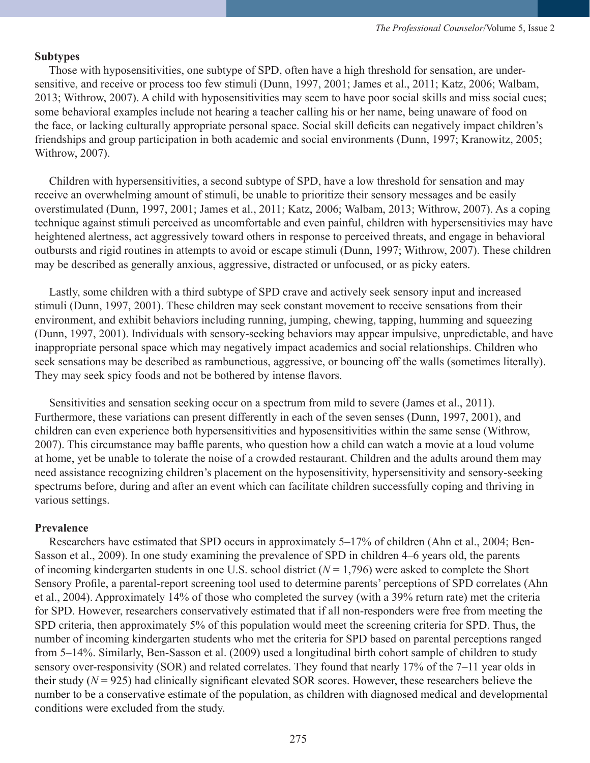#### **Subtypes**

 Those with hyposensitivities, one subtype of SPD, often have a high threshold for sensation, are undersensitive, and receive or process too few stimuli (Dunn, 1997, 2001; James et al., 2011; Katz, 2006; Walbam, 2013; Withrow, 2007). A child with hyposensitivities may seem to have poor social skills and miss social cues; some behavioral examples include not hearing a teacher calling his or her name, being unaware of food on the face, or lacking culturally appropriate personal space. Social skill deficits can negatively impact children's friendships and group participation in both academic and social environments (Dunn, 1997; Kranowitz, 2005; Withrow, 2007).

 Children with hypersensitivities, a second subtype of SPD, have a low threshold for sensation and may receive an overwhelming amount of stimuli, be unable to prioritize their sensory messages and be easily overstimulated (Dunn, 1997, 2001; James et al., 2011; Katz, 2006; Walbam, 2013; Withrow, 2007). As a coping technique against stimuli perceived as uncomfortable and even painful, children with hypersensitivies may have heightened alertness, act aggressively toward others in response to perceived threats, and engage in behavioral outbursts and rigid routines in attempts to avoid or escape stimuli (Dunn, 1997; Withrow, 2007). These children may be described as generally anxious, aggressive, distracted or unfocused, or as picky eaters.

 Lastly, some children with a third subtype of SPD crave and actively seek sensory input and increased stimuli (Dunn, 1997, 2001). These children may seek constant movement to receive sensations from their environment, and exhibit behaviors including running, jumping, chewing, tapping, humming and squeezing (Dunn, 1997, 2001). Individuals with sensory-seeking behaviors may appear impulsive, unpredictable, and have inappropriate personal space which may negatively impact academics and social relationships. Children who seek sensations may be described as rambunctious, aggressive, or bouncing off the walls (sometimes literally). They may seek spicy foods and not be bothered by intense flavors.

 Sensitivities and sensation seeking occur on a spectrum from mild to severe (James et al., 2011). Furthermore, these variations can present differently in each of the seven senses (Dunn, 1997, 2001), and children can even experience both hypersensitivities and hyposensitivities within the same sense (Withrow, 2007). This circumstance may baffle parents, who question how a child can watch a movie at a loud volume at home, yet be unable to tolerate the noise of a crowded restaurant. Children and the adults around them may need assistance recognizing children's placement on the hyposensitivity, hypersensitivity and sensory-seeking spectrums before, during and after an event which can facilitate children successfully coping and thriving in various settings.

#### **Prevalence**

 Researchers have estimated that SPD occurs in approximately 5–17% of children (Ahn et al., 2004; Ben-Sasson et al., 2009). In one study examining the prevalence of SPD in children 4–6 years old, the parents of incoming kindergarten students in one U.S. school district  $(N = 1,796)$  were asked to complete the Short Sensory Profile, a parental-report screening tool used to determine parents' perceptions of SPD correlates (Ahn et al., 2004). Approximately 14% of those who completed the survey (with a 39% return rate) met the criteria for SPD. However, researchers conservatively estimated that if all non-responders were free from meeting the SPD criteria, then approximately 5% of this population would meet the screening criteria for SPD. Thus, the number of incoming kindergarten students who met the criteria for SPD based on parental perceptions ranged from 5–14%. Similarly, Ben-Sasson et al. (2009) used a longitudinal birth cohort sample of children to study sensory over-responsivity (SOR) and related correlates. They found that nearly 17% of the 7–11 year olds in their study  $(N = 925)$  had clinically significant elevated SOR scores. However, these researchers believe the number to be a conservative estimate of the population, as children with diagnosed medical and developmental conditions were excluded from the study.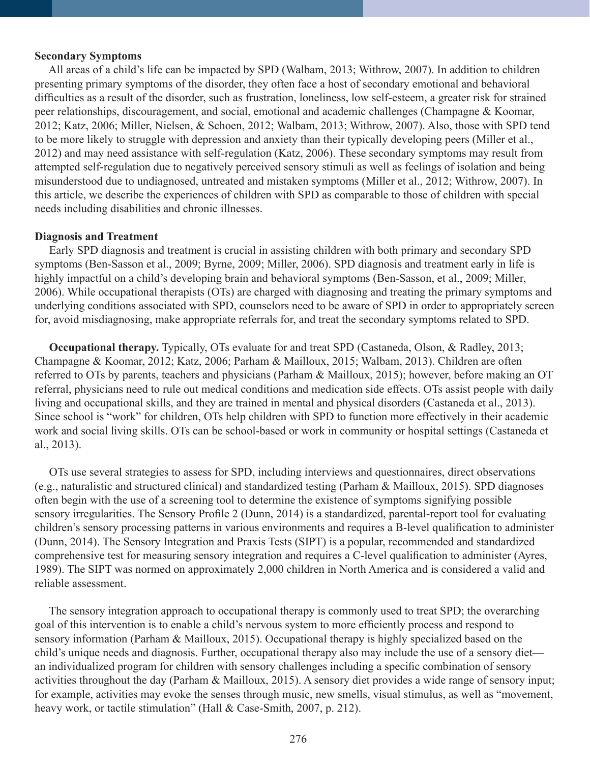#### **Secondary Symptoms**

 All areas of a child's life can be impacted by SPD (Walbam, 2013; Withrow, 2007). In addition to children presenting primary symptoms of the disorder, they often face a host of secondary emotional and behavioral difficulties as a result of the disorder, such as frustration, loneliness, low self-esteem, a greater risk for strained peer relationships, discouragement, and social, emotional and academic challenges (Champagne & Koomar, 2012; Katz, 2006; Miller, Nielsen, & Schoen, 2012; Walbam, 2013; Withrow, 2007). Also, those with SPD tend to be more likely to struggle with depression and anxiety than their typically developing peers (Miller et al., 2012) and may need assistance with self-regulation (Katz, 2006). These secondary symptoms may result from attempted self-regulation due to negatively perceived sensory stimuli as well as feelings of isolation and being misunderstood due to undiagnosed, untreated and mistaken symptoms (Miller et al., 2012; Withrow, 2007). In this article, we describe the experiences of children with SPD as comparable to those of children with special needs including disabilities and chronic illnesses.

#### **Diagnosis and Treatment**

 Early SPD diagnosis and treatment is crucial in assisting children with both primary and secondary SPD symptoms (Ben-Sasson et al., 2009; Byrne, 2009; Miller, 2006). SPD diagnosis and treatment early in life is highly impactful on a child's developing brain and behavioral symptoms (Ben-Sasson, et al., 2009; Miller, 2006). While occupational therapists (OTs) are charged with diagnosing and treating the primary symptoms and underlying conditions associated with SPD, counselors need to be aware of SPD in order to appropriately screen for, avoid misdiagnosing, make appropriate referrals for, and treat the secondary symptoms related to SPD.

**Occupational therapy.** Typically, OTs evaluate for and treat SPD (Castaneda, Olson, & Radley, 2013; Champagne & Koomar, 2012; Katz, 2006; Parham & Mailloux, 2015; Walbam, 2013). Children are often referred to OTs by parents, teachers and physicians (Parham & Mailloux, 2015); however, before making an OT referral, physicians need to rule out medical conditions and medication side effects. OTs assist people with daily living and occupational skills, and they are trained in mental and physical disorders (Castaneda et al., 2013). Since school is "work" for children, OTs help children with SPD to function more effectively in their academic work and social living skills. OTs can be school-based or work in community or hospital settings (Castaneda et al., 2013).

 OTs use several strategies to assess for SPD, including interviews and questionnaires, direct observations (e.g., naturalistic and structured clinical) and standardized testing (Parham & Mailloux, 2015). SPD diagnoses often begin with the use of a screening tool to determine the existence of symptoms signifying possible sensory irregularities. The Sensory Profile 2 (Dunn, 2014) is a standardized, parental-report tool for evaluating children's sensory processing patterns in various environments and requires a B-level qualification to administer (Dunn, 2014). The Sensory Integration and Praxis Tests (SIPT) is a popular, recommended and standardized comprehensive test for measuring sensory integration and requires a C-level qualification to administer (Ayres, 1989). The SIPT was normed on approximately 2,000 children in North America and is considered a valid and reliable assessment.

 The sensory integration approach to occupational therapy is commonly used to treat SPD; the overarching goal of this intervention is to enable a child's nervous system to more efficiently process and respond to sensory information (Parham & Mailloux, 2015). Occupational therapy is highly specialized based on the child's unique needs and diagnosis. Further, occupational therapy also may include the use of a sensory diet an individualized program for children with sensory challenges including a specific combination of sensory activities throughout the day (Parham & Mailloux, 2015). A sensory diet provides a wide range of sensory input; for example, activities may evoke the senses through music, new smells, visual stimulus, as well as "movement, heavy work, or tactile stimulation" (Hall & Case-Smith, 2007, p. 212).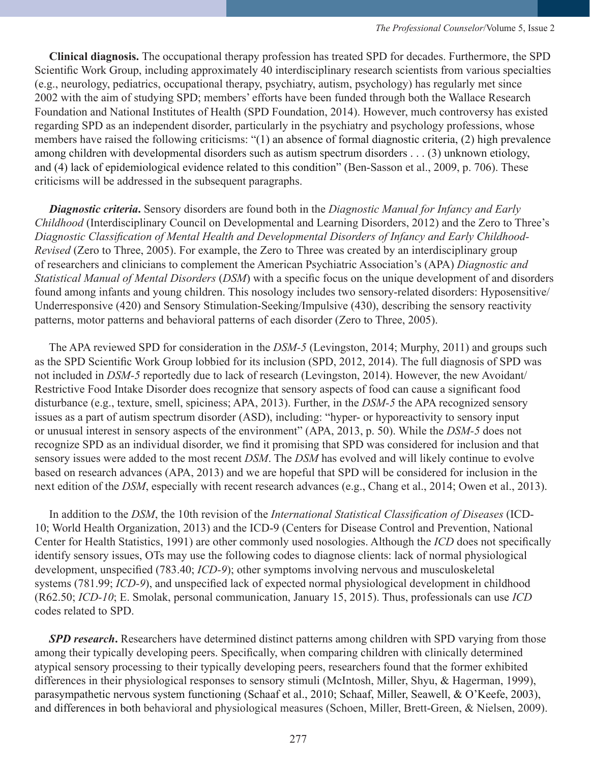**Clinical diagnosis.** The occupational therapy profession has treated SPD for decades. Furthermore, the SPD Scientific Work Group, including approximately 40 interdisciplinary research scientists from various specialties (e.g., neurology, pediatrics, occupational therapy, psychiatry, autism, psychology) has regularly met since 2002 with the aim of studying SPD; members' efforts have been funded through both the Wallace Research Foundation and National Institutes of Health (SPD Foundation, 2014). However, much controversy has existed regarding SPD as an independent disorder, particularly in the psychiatry and psychology professions, whose members have raised the following criticisms: "(1) an absence of formal diagnostic criteria, (2) high prevalence among children with developmental disorders such as autism spectrum disorders . . . (3) unknown etiology, and (4) lack of epidemiological evidence related to this condition" (Ben-Sasson et al., 2009, p. 706). These criticisms will be addressed in the subsequent paragraphs.

 *Diagnostic criteria***.** Sensory disorders are found both in the *Diagnostic Manual for Infancy and Early Childhood* (Interdisciplinary Council on Developmental and Learning Disorders, 2012) and the Zero to Three's *Diagnostic Classification of Mental Health and Developmental Disorders of Infancy and Early Childhood-Revised* (Zero to Three, 2005). For example, the Zero to Three was created by an interdisciplinary group of researchers and clinicians to complement the American Psychiatric Association's (APA) *Diagnostic and Statistical Manual of Mental Disorders* (*DSM*) with a specific focus on the unique development of and disorders found among infants and young children. This nosology includes two sensory-related disorders: Hyposensitive/ Underresponsive (420) and Sensory Stimulation-Seeking/Impulsive (430), describing the sensory reactivity patterns, motor patterns and behavioral patterns of each disorder (Zero to Three, 2005).

 The APA reviewed SPD for consideration in the *DSM-5* (Levingston, 2014; Murphy, 2011) and groups such as the SPD Scientific Work Group lobbied for its inclusion (SPD, 2012, 2014). The full diagnosis of SPD was not included in *DSM-5* reportedly due to lack of research (Levingston, 2014). However, the new Avoidant/ Restrictive Food Intake Disorder does recognize that sensory aspects of food can cause a significant food disturbance (e.g., texture, smell, spiciness; APA, 2013). Further, in the *DSM-5* the APA recognized sensory issues as a part of autism spectrum disorder (ASD), including: "hyper- or hyporeactivity to sensory input or unusual interest in sensory aspects of the environment" (APA, 2013, p. 50). While the *DSM-5* does not recognize SPD as an individual disorder, we find it promising that SPD was considered for inclusion and that sensory issues were added to the most recent *DSM*. The *DSM* has evolved and will likely continue to evolve based on research advances (APA, 2013) and we are hopeful that SPD will be considered for inclusion in the next edition of the *DSM*, especially with recent research advances (e.g., Chang et al., 2014; Owen et al., 2013).

 In addition to the *DSM*, the 10th revision of the *International Statistical Classification of Diseases* (ICD-10; World Health Organization, 2013) and the ICD-9 (Centers for Disease Control and Prevention, National Center for Health Statistics, 1991) are other commonly used nosologies. Although the *ICD* does not specifically identify sensory issues, OTs may use the following codes to diagnose clients: lack of normal physiological development, unspecified (783.40; *ICD-9*); other symptoms involving nervous and musculoskeletal systems (781.99; *ICD-9*), and unspecified lack of expected normal physiological development in childhood (R62.50; *ICD-10*; E. Smolak, personal communication, January 15, 2015). Thus, professionals can use *ICD* codes related to SPD.

*SPD research*. Researchers have determined distinct patterns among children with SPD varying from those among their typically developing peers. Specifically, when comparing children with clinically determined atypical sensory processing to their typically developing peers, researchers found that the former exhibited differences in their physiological responses to sensory stimuli (McIntosh, Miller, Shyu, & Hagerman, 1999), parasympathetic nervous system functioning (Schaaf et al., 2010; Schaaf, Miller, Seawell, & O'Keefe, 2003), and differences in both behavioral and physiological measures (Schoen, Miller, Brett-Green, & Nielsen, 2009).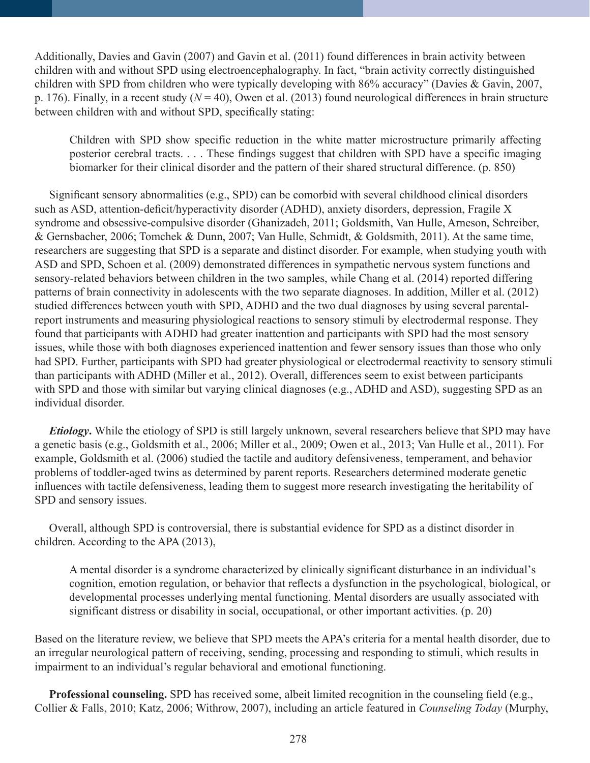Additionally, Davies and Gavin (2007) and Gavin et al. (2011) found differences in brain activity between children with and without SPD using electroencephalography. In fact, "brain activity correctly distinguished children with SPD from children who were typically developing with 86% accuracy" (Davies & Gavin, 2007, p. 176). Finally, in a recent study  $(N = 40)$ , Owen et al. (2013) found neurological differences in brain structure between children with and without SPD, specifically stating:

Children with SPD show specific reduction in the white matter microstructure primarily affecting posterior cerebral tracts. . . . These findings suggest that children with SPD have a specific imaging biomarker for their clinical disorder and the pattern of their shared structural difference. (p. 850)

 Significant sensory abnormalities (e.g., SPD) can be comorbid with several childhood clinical disorders such as ASD, attention-deficit/hyperactivity disorder (ADHD), anxiety disorders, depression, Fragile X syndrome and obsessive-compulsive disorder (Ghanizadeh, 2011; Goldsmith, Van Hulle, Arneson, Schreiber, & Gernsbacher, 2006; Tomchek & Dunn, 2007; Van Hulle, Schmidt, & Goldsmith, 2011). At the same time, researchers are suggesting that SPD is a separate and distinct disorder. For example, when studying youth with ASD and SPD, Schoen et al. (2009) demonstrated differences in sympathetic nervous system functions and sensory-related behaviors between children in the two samples, while Chang et al. (2014) reported differing patterns of brain connectivity in adolescents with the two separate diagnoses. In addition, Miller et al. (2012) studied differences between youth with SPD, ADHD and the two dual diagnoses by using several parentalreport instruments and measuring physiological reactions to sensory stimuli by electrodermal response. They found that participants with ADHD had greater inattention and participants with SPD had the most sensory issues, while those with both diagnoses experienced inattention and fewer sensory issues than those who only had SPD. Further, participants with SPD had greater physiological or electrodermal reactivity to sensory stimuli than participants with ADHD (Miller et al., 2012). Overall, differences seem to exist between participants with SPD and those with similar but varying clinical diagnoses (e.g., ADHD and ASD), suggesting SPD as an individual disorder.

 *Etiology***.** While the etiology of SPD is still largely unknown, several researchers believe that SPD may have a genetic basis (e.g., Goldsmith et al., 2006; Miller et al., 2009; Owen et al., 2013; Van Hulle et al., 2011). For example, Goldsmith et al. (2006) studied the tactile and auditory defensiveness, temperament, and behavior problems of toddler-aged twins as determined by parent reports. Researchers determined moderate genetic influences with tactile defensiveness, leading them to suggest more research investigating the heritability of SPD and sensory issues.

 Overall, although SPD is controversial, there is substantial evidence for SPD as a distinct disorder in children. According to the APA (2013),

A mental disorder is a syndrome characterized by clinically significant disturbance in an individual's cognition, emotion regulation, or behavior that reflects a dysfunction in the psychological, biological, or developmental processes underlying mental functioning. Mental disorders are usually associated with significant distress or disability in social, occupational, or other important activities. (p. 20)

Based on the literature review, we believe that SPD meets the APA's criteria for a mental health disorder, due to an irregular neurological pattern of receiving, sending, processing and responding to stimuli, which results in impairment to an individual's regular behavioral and emotional functioning.

**Professional counseling.** SPD has received some, albeit limited recognition in the counseling field (e.g., Collier & Falls, 2010; Katz, 2006; Withrow, 2007), including an article featured in *Counseling Today* (Murphy,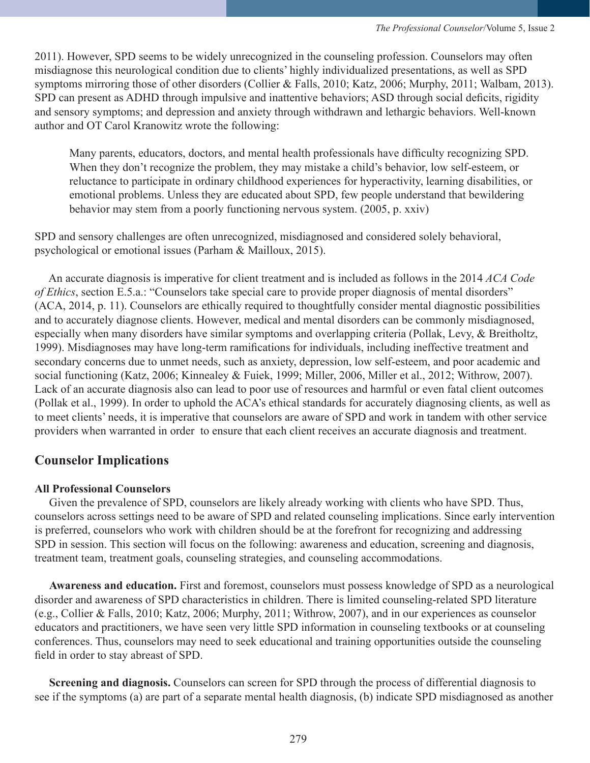2011). However, SPD seems to be widely unrecognized in the counseling profession. Counselors may often misdiagnose this neurological condition due to clients' highly individualized presentations, as well as SPD symptoms mirroring those of other disorders (Collier & Falls, 2010; Katz, 2006; Murphy, 2011; Walbam, 2013). SPD can present as ADHD through impulsive and inattentive behaviors; ASD through social deficits, rigidity and sensory symptoms; and depression and anxiety through withdrawn and lethargic behaviors. Well-known author and OT Carol Kranowitz wrote the following:

Many parents, educators, doctors, and mental health professionals have difficulty recognizing SPD. When they don't recognize the problem, they may mistake a child's behavior, low self-esteem, or reluctance to participate in ordinary childhood experiences for hyperactivity, learning disabilities, or emotional problems. Unless they are educated about SPD, few people understand that bewildering behavior may stem from a poorly functioning nervous system. (2005, p. xxiv)

SPD and sensory challenges are often unrecognized, misdiagnosed and considered solely behavioral, psychological or emotional issues (Parham & Mailloux, 2015).

 An accurate diagnosis is imperative for client treatment and is included as follows in the 2014 *ACA Code of Ethics*, section E.5.a.: "Counselors take special care to provide proper diagnosis of mental disorders" (ACA, 2014, p. 11). Counselors are ethically required to thoughtfully consider mental diagnostic possibilities and to accurately diagnose clients. However, medical and mental disorders can be commonly misdiagnosed, especially when many disorders have similar symptoms and overlapping criteria (Pollak, Levy, & Breitholtz, 1999). Misdiagnoses may have long-term ramifications for individuals, including ineffective treatment and secondary concerns due to unmet needs, such as anxiety, depression, low self-esteem, and poor academic and social functioning (Katz, 2006; Kinnealey & Fuiek, 1999; Miller, 2006, Miller et al., 2012; Withrow, 2007). Lack of an accurate diagnosis also can lead to poor use of resources and harmful or even fatal client outcomes (Pollak et al., 1999). In order to uphold the ACA's ethical standards for accurately diagnosing clients, as well as to meet clients' needs, it is imperative that counselors are aware of SPD and work in tandem with other service providers when warranted in order to ensure that each client receives an accurate diagnosis and treatment.

# **Counselor Implications**

## **All Professional Counselors**

 Given the prevalence of SPD, counselors are likely already working with clients who have SPD. Thus, counselors across settings need to be aware of SPD and related counseling implications. Since early intervention is preferred, counselors who work with children should be at the forefront for recognizing and addressing SPD in session. This section will focus on the following: awareness and education, screening and diagnosis, treatment team, treatment goals, counseling strategies, and counseling accommodations.

 **Awareness and education.** First and foremost, counselors must possess knowledge of SPD as a neurological disorder and awareness of SPD characteristics in children. There is limited counseling-related SPD literature (e.g., Collier & Falls, 2010; Katz, 2006; Murphy, 2011; Withrow, 2007), and in our experiences as counselor educators and practitioners, we have seen very little SPD information in counseling textbooks or at counseling conferences. Thus, counselors may need to seek educational and training opportunities outside the counseling field in order to stay abreast of SPD.

 **Screening and diagnosis.** Counselors can screen for SPD through the process of differential diagnosis to see if the symptoms (a) are part of a separate mental health diagnosis, (b) indicate SPD misdiagnosed as another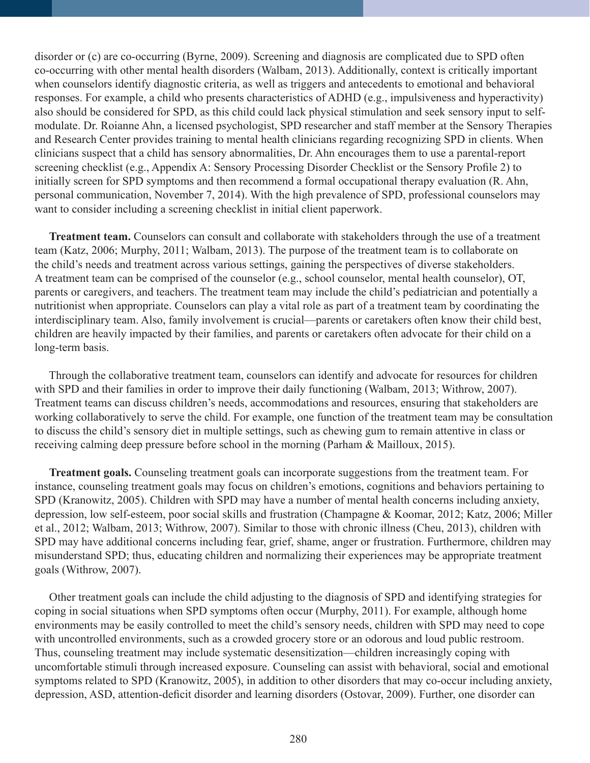disorder or (c) are co-occurring (Byrne, 2009). Screening and diagnosis are complicated due to SPD often co-occurring with other mental health disorders (Walbam, 2013). Additionally, context is critically important when counselors identify diagnostic criteria, as well as triggers and antecedents to emotional and behavioral responses. For example, a child who presents characteristics of ADHD (e.g., impulsiveness and hyperactivity) also should be considered for SPD, as this child could lack physical stimulation and seek sensory input to selfmodulate. Dr. Roianne Ahn, a licensed psychologist, SPD researcher and staff member at the Sensory Therapies and Research Center provides training to mental health clinicians regarding recognizing SPD in clients. When clinicians suspect that a child has sensory abnormalities, Dr. Ahn encourages them to use a parental-report screening checklist (e.g., Appendix A: Sensory Processing Disorder Checklist or the Sensory Profile 2) to initially screen for SPD symptoms and then recommend a formal occupational therapy evaluation (R. Ahn, personal communication, November 7, 2014). With the high prevalence of SPD, professional counselors may want to consider including a screening checklist in initial client paperwork.

 **Treatment team.** Counselors can consult and collaborate with stakeholders through the use of a treatment team (Katz, 2006; Murphy, 2011; Walbam, 2013). The purpose of the treatment team is to collaborate on the child's needs and treatment across various settings, gaining the perspectives of diverse stakeholders. A treatment team can be comprised of the counselor (e.g., school counselor, mental health counselor), OT, parents or caregivers, and teachers. The treatment team may include the child's pediatrician and potentially a nutritionist when appropriate. Counselors can play a vital role as part of a treatment team by coordinating the interdisciplinary team. Also, family involvement is crucial—parents or caretakers often know their child best, children are heavily impacted by their families, and parents or caretakers often advocate for their child on a long-term basis.

 Through the collaborative treatment team, counselors can identify and advocate for resources for children with SPD and their families in order to improve their daily functioning (Walbam, 2013; Withrow, 2007). Treatment teams can discuss children's needs, accommodations and resources, ensuring that stakeholders are working collaboratively to serve the child. For example, one function of the treatment team may be consultation to discuss the child's sensory diet in multiple settings, such as chewing gum to remain attentive in class or receiving calming deep pressure before school in the morning (Parham & Mailloux, 2015).

 **Treatment goals.** Counseling treatment goals can incorporate suggestions from the treatment team. For instance, counseling treatment goals may focus on children's emotions, cognitions and behaviors pertaining to SPD (Kranowitz, 2005). Children with SPD may have a number of mental health concerns including anxiety, depression, low self-esteem, poor social skills and frustration (Champagne & Koomar, 2012; Katz, 2006; Miller et al., 2012; Walbam, 2013; Withrow, 2007). Similar to those with chronic illness (Cheu, 2013), children with SPD may have additional concerns including fear, grief, shame, anger or frustration. Furthermore, children may misunderstand SPD; thus, educating children and normalizing their experiences may be appropriate treatment goals (Withrow, 2007).

 Other treatment goals can include the child adjusting to the diagnosis of SPD and identifying strategies for coping in social situations when SPD symptoms often occur (Murphy, 2011). For example, although home environments may be easily controlled to meet the child's sensory needs, children with SPD may need to cope with uncontrolled environments, such as a crowded grocery store or an odorous and loud public restroom. Thus, counseling treatment may include systematic desensitization—children increasingly coping with uncomfortable stimuli through increased exposure. Counseling can assist with behavioral, social and emotional symptoms related to SPD (Kranowitz, 2005), in addition to other disorders that may co-occur including anxiety, depression, ASD, attention-deficit disorder and learning disorders (Ostovar, 2009). Further, one disorder can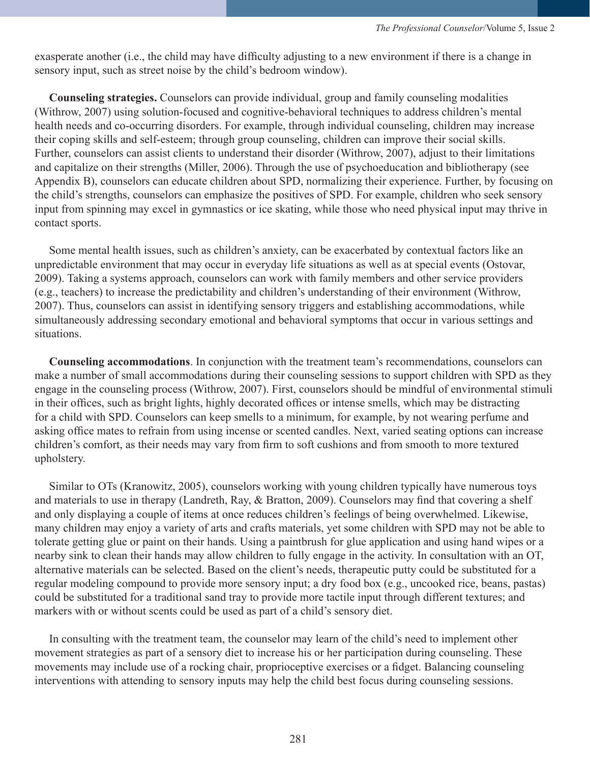exasperate another (i.e., the child may have difficulty adjusting to a new environment if there is a change in sensory input, such as street noise by the child's bedroom window).

 **Counseling strategies.** Counselors can provide individual, group and family counseling modalities (Withrow, 2007) using solution-focused and cognitive-behavioral techniques to address children's mental health needs and co-occurring disorders. For example, through individual counseling, children may increase their coping skills and self-esteem; through group counseling, children can improve their social skills. Further, counselors can assist clients to understand their disorder (Withrow, 2007), adjust to their limitations and capitalize on their strengths (Miller, 2006). Through the use of psychoeducation and bibliotherapy (see Appendix B), counselors can educate children about SPD, normalizing their experience. Further, by focusing on the child's strengths, counselors can emphasize the positives of SPD. For example, children who seek sensory input from spinning may excel in gymnastics or ice skating, while those who need physical input may thrive in contact sports.

 Some mental health issues, such as children's anxiety, can be exacerbated by contextual factors like an unpredictable environment that may occur in everyday life situations as well as at special events (Ostovar, 2009). Taking a systems approach, counselors can work with family members and other service providers (e.g., teachers) to increase the predictability and children's understanding of their environment (Withrow, 2007). Thus, counselors can assist in identifying sensory triggers and establishing accommodations, while simultaneously addressing secondary emotional and behavioral symptoms that occur in various settings and situations.

 **Counseling accommodations**. In conjunction with the treatment team's recommendations, counselors can make a number of small accommodations during their counseling sessions to support children with SPD as they engage in the counseling process (Withrow, 2007). First, counselors should be mindful of environmental stimuli in their offices, such as bright lights, highly decorated offices or intense smells, which may be distracting for a child with SPD. Counselors can keep smells to a minimum, for example, by not wearing perfume and asking office mates to refrain from using incense or scented candles. Next, varied seating options can increase children's comfort, as their needs may vary from firm to soft cushions and from smooth to more textured upholstery.

 Similar to OTs (Kranowitz, 2005), counselors working with young children typically have numerous toys and materials to use in therapy (Landreth, Ray, & Bratton, 2009). Counselors may find that covering a shelf and only displaying a couple of items at once reduces children's feelings of being overwhelmed. Likewise, many children may enjoy a variety of arts and crafts materials, yet some children with SPD may not be able to tolerate getting glue or paint on their hands. Using a paintbrush for glue application and using hand wipes or a nearby sink to clean their hands may allow children to fully engage in the activity. In consultation with an OT, alternative materials can be selected. Based on the client's needs, therapeutic putty could be substituted for a regular modeling compound to provide more sensory input; a dry food box (e.g., uncooked rice, beans, pastas) could be substituted for a traditional sand tray to provide more tactile input through different textures; and markers with or without scents could be used as part of a child's sensory diet.

 In consulting with the treatment team, the counselor may learn of the child's need to implement other movement strategies as part of a sensory diet to increase his or her participation during counseling. These movements may include use of a rocking chair, proprioceptive exercises or a fidget. Balancing counseling interventions with attending to sensory inputs may help the child best focus during counseling sessions.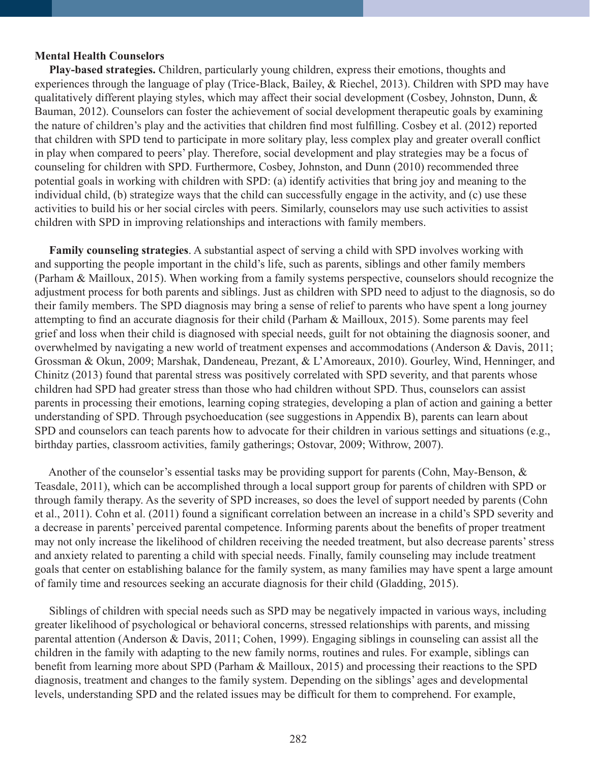#### **Mental Health Counselors**

 **Play-based strategies.** Children, particularly young children, express their emotions, thoughts and experiences through the language of play (Trice-Black, Bailey, & Riechel, 2013). Children with SPD may have qualitatively different playing styles, which may affect their social development (Cosbey, Johnston, Dunn,  $\&$ Bauman, 2012). Counselors can foster the achievement of social development therapeutic goals by examining the nature of children's play and the activities that children find most fulfilling. Cosbey et al. (2012) reported that children with SPD tend to participate in more solitary play, less complex play and greater overall conflict in play when compared to peers' play. Therefore, social development and play strategies may be a focus of counseling for children with SPD. Furthermore, Cosbey, Johnston, and Dunn (2010) recommended three potential goals in working with children with SPD: (a) identify activities that bring joy and meaning to the individual child, (b) strategize ways that the child can successfully engage in the activity, and (c) use these activities to build his or her social circles with peers. Similarly, counselors may use such activities to assist children with SPD in improving relationships and interactions with family members.

 **Family counseling strategies**. A substantial aspect of serving a child with SPD involves working with and supporting the people important in the child's life, such as parents, siblings and other family members (Parham & Mailloux, 2015). When working from a family systems perspective, counselors should recognize the adjustment process for both parents and siblings. Just as children with SPD need to adjust to the diagnosis, so do their family members. The SPD diagnosis may bring a sense of relief to parents who have spent a long journey attempting to find an accurate diagnosis for their child (Parham & Mailloux, 2015). Some parents may feel grief and loss when their child is diagnosed with special needs, guilt for not obtaining the diagnosis sooner, and overwhelmed by navigating a new world of treatment expenses and accommodations (Anderson & Davis, 2011; Grossman & Okun, 2009; Marshak, Dandeneau, Prezant, & L'Amoreaux, 2010). Gourley, Wind, Henninger, and Chinitz (2013) found that parental stress was positively correlated with SPD severity, and that parents whose children had SPD had greater stress than those who had children without SPD. Thus, counselors can assist parents in processing their emotions, learning coping strategies, developing a plan of action and gaining a better understanding of SPD. Through psychoeducation (see suggestions in Appendix B), parents can learn about SPD and counselors can teach parents how to advocate for their children in various settings and situations (e.g., birthday parties, classroom activities, family gatherings; Ostovar, 2009; Withrow, 2007).

 Another of the counselor's essential tasks may be providing support for parents (Cohn, May-Benson, & Teasdale, 2011), which can be accomplished through a local support group for parents of children with SPD or through family therapy. As the severity of SPD increases, so does the level of support needed by parents (Cohn et al., 2011). Cohn et al. (2011) found a significant correlation between an increase in a child's SPD severity and a decrease in parents' perceived parental competence. Informing parents about the benefits of proper treatment may not only increase the likelihood of children receiving the needed treatment, but also decrease parents' stress and anxiety related to parenting a child with special needs. Finally, family counseling may include treatment goals that center on establishing balance for the family system, as many families may have spent a large amount of family time and resources seeking an accurate diagnosis for their child (Gladding, 2015).

 Siblings of children with special needs such as SPD may be negatively impacted in various ways, including greater likelihood of psychological or behavioral concerns, stressed relationships with parents, and missing parental attention (Anderson & Davis, 2011; Cohen, 1999). Engaging siblings in counseling can assist all the children in the family with adapting to the new family norms, routines and rules. For example, siblings can benefit from learning more about SPD (Parham & Mailloux, 2015) and processing their reactions to the SPD diagnosis, treatment and changes to the family system. Depending on the siblings' ages and developmental levels, understanding SPD and the related issues may be difficult for them to comprehend. For example,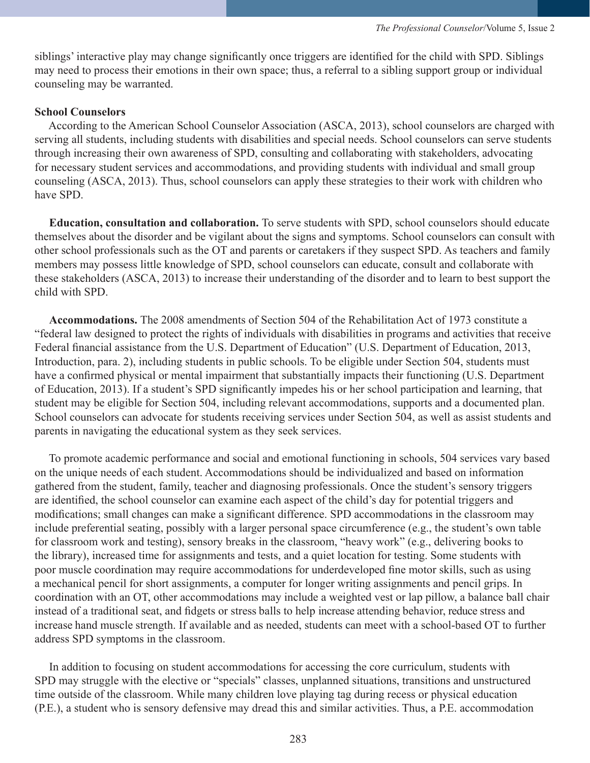siblings' interactive play may change significantly once triggers are identified for the child with SPD. Siblings may need to process their emotions in their own space; thus, a referral to a sibling support group or individual counseling may be warranted.

## **School Counselors**

 According to the American School Counselor Association (ASCA, 2013), school counselors are charged with serving all students, including students with disabilities and special needs. School counselors can serve students through increasing their own awareness of SPD, consulting and collaborating with stakeholders, advocating for necessary student services and accommodations, and providing students with individual and small group counseling (ASCA, 2013). Thus, school counselors can apply these strategies to their work with children who have SPD.

 **Education, consultation and collaboration.** To serve students with SPD, school counselors should educate themselves about the disorder and be vigilant about the signs and symptoms. School counselors can consult with other school professionals such as the OT and parents or caretakers if they suspect SPD. As teachers and family members may possess little knowledge of SPD, school counselors can educate, consult and collaborate with these stakeholders (ASCA, 2013) to increase their understanding of the disorder and to learn to best support the child with SPD.

 **Accommodations.** The 2008 amendments of Section 504 of the Rehabilitation Act of 1973 constitute a "federal law designed to protect the rights of individuals with disabilities in programs and activities that receive Federal financial assistance from the U.S. Department of Education" (U.S. Department of Education, 2013, Introduction, para. 2), including students in public schools. To be eligible under Section 504, students must have a confirmed physical or mental impairment that substantially impacts their functioning (U.S. Department of Education, 2013). If a student's SPD significantly impedes his or her school participation and learning, that student may be eligible for Section 504, including relevant accommodations, supports and a documented plan. School counselors can advocate for students receiving services under Section 504, as well as assist students and parents in navigating the educational system as they seek services.

 To promote academic performance and social and emotional functioning in schools, 504 services vary based on the unique needs of each student. Accommodations should be individualized and based on information gathered from the student, family, teacher and diagnosing professionals. Once the student's sensory triggers are identified, the school counselor can examine each aspect of the child's day for potential triggers and modifications; small changes can make a significant difference. SPD accommodations in the classroom may include preferential seating, possibly with a larger personal space circumference (e.g., the student's own table for classroom work and testing), sensory breaks in the classroom, "heavy work" (e.g., delivering books to the library), increased time for assignments and tests, and a quiet location for testing. Some students with poor muscle coordination may require accommodations for underdeveloped fine motor skills, such as using a mechanical pencil for short assignments, a computer for longer writing assignments and pencil grips. In coordination with an OT, other accommodations may include a weighted vest or lap pillow, a balance ball chair instead of a traditional seat, and fidgets or stress balls to help increase attending behavior, reduce stress and increase hand muscle strength. If available and as needed, students can meet with a school-based OT to further address SPD symptoms in the classroom.

 In addition to focusing on student accommodations for accessing the core curriculum, students with SPD may struggle with the elective or "specials" classes, unplanned situations, transitions and unstructured time outside of the classroom. While many children love playing tag during recess or physical education (P.E.), a student who is sensory defensive may dread this and similar activities. Thus, a P.E. accommodation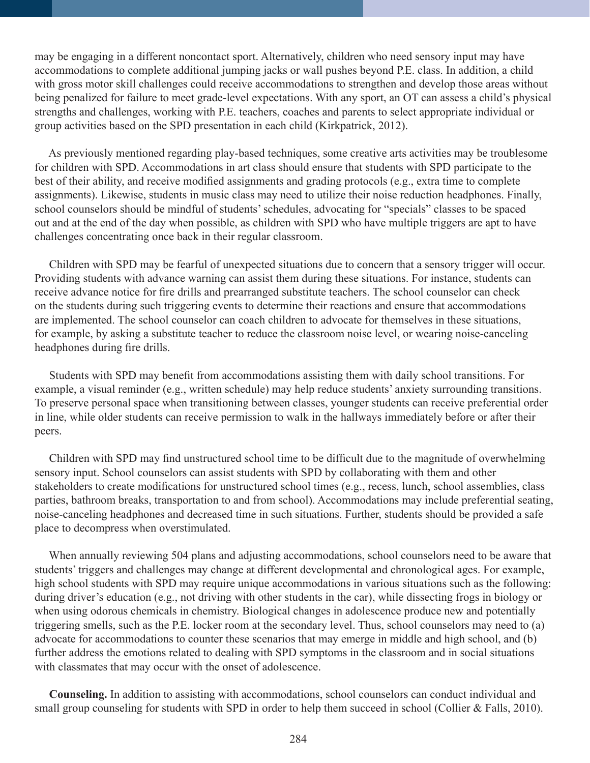may be engaging in a different noncontact sport. Alternatively, children who need sensory input may have accommodations to complete additional jumping jacks or wall pushes beyond P.E. class. In addition, a child with gross motor skill challenges could receive accommodations to strengthen and develop those areas without being penalized for failure to meet grade-level expectations. With any sport, an OT can assess a child's physical strengths and challenges, working with P.E. teachers, coaches and parents to select appropriate individual or group activities based on the SPD presentation in each child (Kirkpatrick, 2012).

 As previously mentioned regarding play-based techniques, some creative arts activities may be troublesome for children with SPD. Accommodations in art class should ensure that students with SPD participate to the best of their ability, and receive modified assignments and grading protocols (e.g., extra time to complete assignments). Likewise, students in music class may need to utilize their noise reduction headphones. Finally, school counselors should be mindful of students' schedules, advocating for "specials" classes to be spaced out and at the end of the day when possible, as children with SPD who have multiple triggers are apt to have challenges concentrating once back in their regular classroom.

 Children with SPD may be fearful of unexpected situations due to concern that a sensory trigger will occur. Providing students with advance warning can assist them during these situations. For instance, students can receive advance notice for fire drills and prearranged substitute teachers. The school counselor can check on the students during such triggering events to determine their reactions and ensure that accommodations are implemented. The school counselor can coach children to advocate for themselves in these situations, for example, by asking a substitute teacher to reduce the classroom noise level, or wearing noise-canceling headphones during fire drills.

 Students with SPD may benefit from accommodations assisting them with daily school transitions. For example, a visual reminder (e.g., written schedule) may help reduce students' anxiety surrounding transitions. To preserve personal space when transitioning between classes, younger students can receive preferential order in line, while older students can receive permission to walk in the hallways immediately before or after their peers.

 Children with SPD may find unstructured school time to be difficult due to the magnitude of overwhelming sensory input. School counselors can assist students with SPD by collaborating with them and other stakeholders to create modifications for unstructured school times (e.g., recess, lunch, school assemblies, class parties, bathroom breaks, transportation to and from school). Accommodations may include preferential seating, noise-canceling headphones and decreased time in such situations. Further, students should be provided a safe place to decompress when overstimulated.

 When annually reviewing 504 plans and adjusting accommodations, school counselors need to be aware that students' triggers and challenges may change at different developmental and chronological ages. For example, high school students with SPD may require unique accommodations in various situations such as the following: during driver's education (e.g., not driving with other students in the car), while dissecting frogs in biology or when using odorous chemicals in chemistry. Biological changes in adolescence produce new and potentially triggering smells, such as the P.E. locker room at the secondary level. Thus, school counselors may need to (a) advocate for accommodations to counter these scenarios that may emerge in middle and high school, and (b) further address the emotions related to dealing with SPD symptoms in the classroom and in social situations with classmates that may occur with the onset of adolescence.

 **Counseling.** In addition to assisting with accommodations, school counselors can conduct individual and small group counseling for students with SPD in order to help them succeed in school (Collier & Falls, 2010).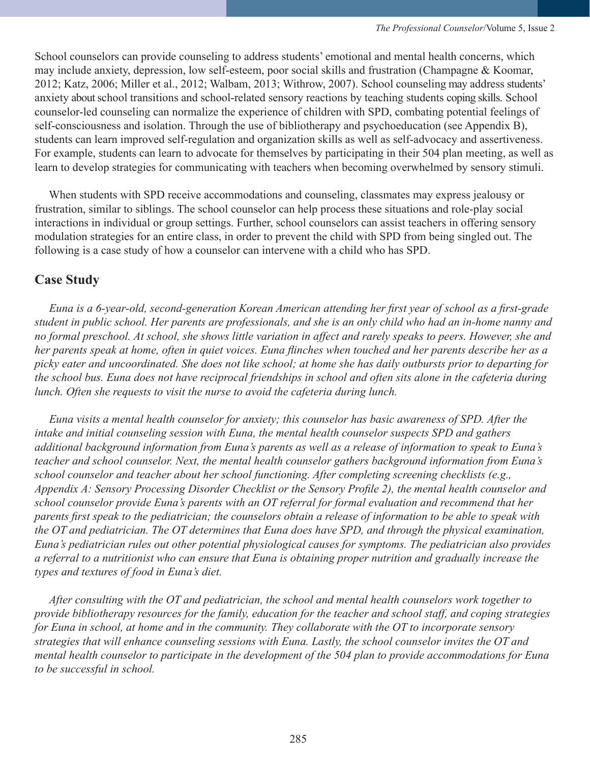School counselors can provide counseling to address students' emotional and mental health concerns, which may include anxiety, depression, low self-esteem, poor social skills and frustration (Champagne & Koomar, 2012; Katz, 2006; Miller et al., 2012; Walbam, 2013; Withrow, 2007). School counseling may address students' anxiety about school transitions and school-related sensory reactions by teaching students coping skills. School counselor-led counseling can normalize the experience of children with SPD, combating potential feelings of self-consciousness and isolation. Through the use of bibliotherapy and psychoeducation (see Appendix B), students can learn improved self-regulation and organization skills as well as self-advocacy and assertiveness. For example, students can learn to advocate for themselves by participating in their 504 plan meeting, as well as learn to develop strategies for communicating with teachers when becoming overwhelmed by sensory stimuli.

 When students with SPD receive accommodations and counseling, classmates may express jealousy or frustration, similar to siblings. The school counselor can help process these situations and role-play social interactions in individual or group settings. Further, school counselors can assist teachers in offering sensory modulation strategies for an entire class, in order to prevent the child with SPD from being singled out. The following is a case study of how a counselor can intervene with a child who has SPD.

# **Case Study**

 *Euna is a 6-year-old, second-generation Korean American attending her first year of school as a first-grade student in public school. Her parents are professionals, and she is an only child who had an in-home nanny and no formal preschool. At school, she shows little variation in affect and rarely speaks to peers. However, she and her parents speak at home, often in quiet voices. Euna flinches when touched and her parents describe her as a picky eater and uncoordinated. She does not like school; at home she has daily outbursts prior to departing for the school bus. Euna does not have reciprocal friendships in school and often sits alone in the cafeteria during lunch. Often she requests to visit the nurse to avoid the cafeteria during lunch.* 

 *Euna visits a mental health counselor for anxiety; this counselor has basic awareness of SPD. After the intake and initial counseling session with Euna, the mental health counselor suspects SPD and gathers additional background information from Euna's parents as well as a release of information to speak to Euna's teacher and school counselor. Next, the mental health counselor gathers background information from Euna's school counselor and teacher about her school functioning. After completing screening checklists (e.g., Appendix A: Sensory Processing Disorder Checklist or the Sensory Profile 2), the mental health counselor and school counselor provide Euna's parents with an OT referral for formal evaluation and recommend that her parents first speak to the pediatrician; the counselors obtain a release of information to be able to speak with the OT and pediatrician. The OT determines that Euna does have SPD, and through the physical examination, Euna's pediatrician rules out other potential physiological causes for symptoms. The pediatrician also provides a referral to a nutritionist who can ensure that Euna is obtaining proper nutrition and gradually increase the types and textures of food in Euna's diet.* 

 *After consulting with the OT and pediatrician, the school and mental health counselors work together to provide bibliotherapy resources for the family, education for the teacher and school staff, and coping strategies for Euna in school, at home and in the community. They collaborate with the OT to incorporate sensory strategies that will enhance counseling sessions with Euna. Lastly, the school counselor invites the OT and mental health counselor to participate in the development of the 504 plan to provide accommodations for Euna to be successful in school.*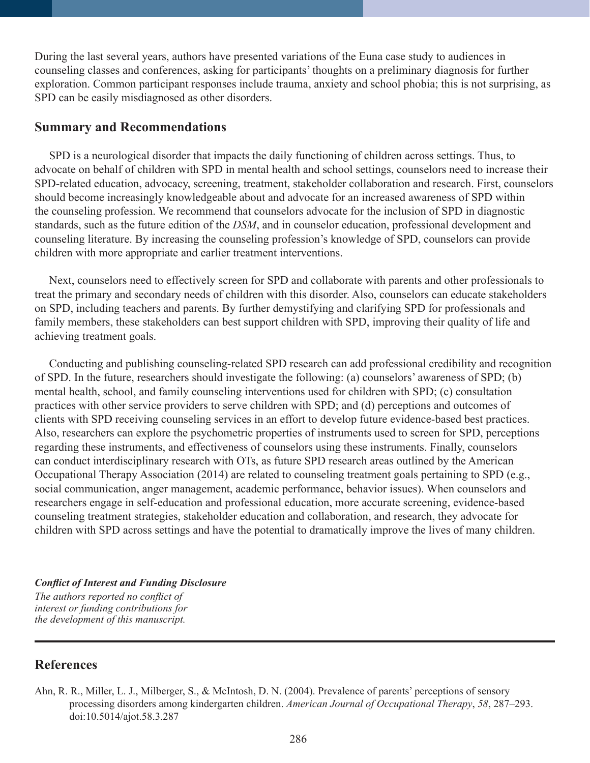During the last several years, authors have presented variations of the Euna case study to audiences in counseling classes and conferences, asking for participants' thoughts on a preliminary diagnosis for further exploration. Common participant responses include trauma, anxiety and school phobia; this is not surprising, as SPD can be easily misdiagnosed as other disorders.

## **Summary and Recommendations**

 SPD is a neurological disorder that impacts the daily functioning of children across settings. Thus, to advocate on behalf of children with SPD in mental health and school settings, counselors need to increase their SPD-related education, advocacy, screening, treatment, stakeholder collaboration and research. First, counselors should become increasingly knowledgeable about and advocate for an increased awareness of SPD within the counseling profession. We recommend that counselors advocate for the inclusion of SPD in diagnostic standards, such as the future edition of the *DSM*, and in counselor education, professional development and counseling literature. By increasing the counseling profession's knowledge of SPD, counselors can provide children with more appropriate and earlier treatment interventions.

 Next, counselors need to effectively screen for SPD and collaborate with parents and other professionals to treat the primary and secondary needs of children with this disorder. Also, counselors can educate stakeholders on SPD, including teachers and parents. By further demystifying and clarifying SPD for professionals and family members, these stakeholders can best support children with SPD, improving their quality of life and achieving treatment goals.

 Conducting and publishing counseling-related SPD research can add professional credibility and recognition of SPD. In the future, researchers should investigate the following: (a) counselors' awareness of SPD; (b) mental health, school, and family counseling interventions used for children with SPD; (c) consultation practices with other service providers to serve children with SPD; and (d) perceptions and outcomes of clients with SPD receiving counseling services in an effort to develop future evidence-based best practices. Also, researchers can explore the psychometric properties of instruments used to screen for SPD, perceptions regarding these instruments, and effectiveness of counselors using these instruments. Finally, counselors can conduct interdisciplinary research with OTs, as future SPD research areas outlined by the American Occupational Therapy Association (2014) are related to counseling treatment goals pertaining to SPD (e.g., social communication, anger management, academic performance, behavior issues). When counselors and researchers engage in self-education and professional education, more accurate screening, evidence-based counseling treatment strategies, stakeholder education and collaboration, and research, they advocate for children with SPD across settings and have the potential to dramatically improve the lives of many children.

## *Conflict of Interest and Funding Disclosure The authors reported no conflict of interest or funding contributions for the development of this manuscript.*

# **References**

Ahn, R. R., Miller, L. J., Milberger, S., & McIntosh, D. N. (2004). Prevalence of parents' perceptions of sensory processing disorders among kindergarten children. *American Journal of Occupational Therapy*, *58*, 287–293. doi:10.5014/ajot.58.3.287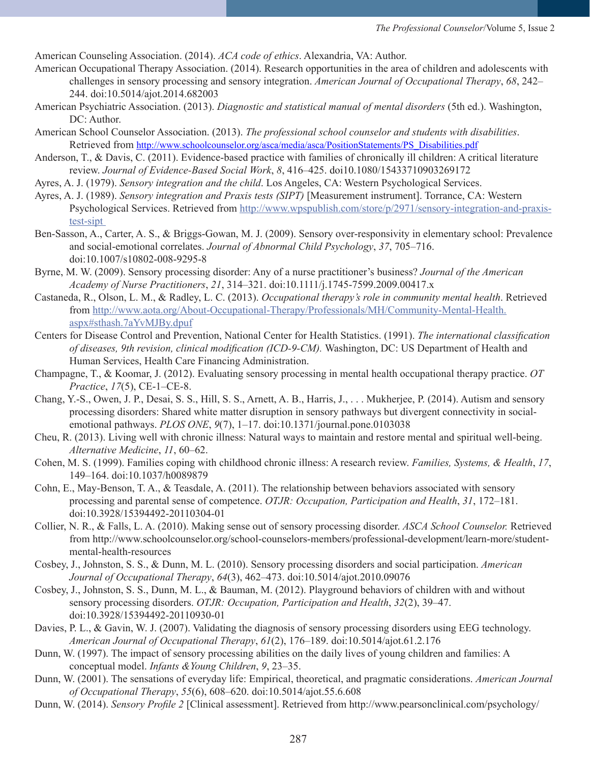American Counseling Association. (2014). *ACA code of ethics*. Alexandria, VA: Author.

- American Occupational Therapy Association. (2014). Research opportunities in the area of children and adolescents with challenges in sensory processing and sensory integration. *American Journal of Occupational Therapy*, *68*, 242– 244. doi:10.5014/ajot.2014.682003
- American Psychiatric Association. (2013). *Diagnostic and statistical manual of mental disorders* (5th ed.). Washington, DC: Author.
- American School Counselor Association. (2013). *The professional school counselor and students with disabilities*. Retrieved from http://www.schoolcounselor.org/asca/media/asca/PositionStatements/PS\_Disabilities.pdf
- Anderson, T., & Davis, C. (2011). Evidence-based practice with families of chronically ill children: A critical literature review. *Journal of Evidence-Based Social Work*, *8*, 416–425. doi10.1080/15433710903269172
- Ayres, A. J. (1979). *Sensory integration and the child*. Los Angeles, CA: Western Psychological Services.
- Ayres, A. J. (1989). *Sensory integration and Praxis tests (SIPT)* [Measurement instrument]. Torrance, CA: Western Psychological Services. Retrieved from http://www.wpspublish.com/store/p/2971/sensory-integration-and-praxistest-sipt
- Ben-Sasson, A., Carter, A. S., & Briggs-Gowan, M. J. (2009). Sensory over-responsivity in elementary school: Prevalence and social-emotional correlates. *Journal of Abnormal Child Psychology*, *37*, 705–716. doi:10.1007/s10802-008-9295-8
- Byrne, M. W. (2009). Sensory processing disorder: Any of a nurse practitioner's business? *Journal of the American Academy of Nurse Practitioners*, *21*, 314–321. doi:10.1111/j.1745-7599.2009.00417.x
- Castaneda, R., Olson, L. M., & Radley, L. C. (2013). *Occupational therapy's role in community mental health*. Retrieved from http://www.aota.org/About-Occupational-Therapy/Professionals/MH/Community-Mental-Health. aspx#sthash.7aYvMJBy.dpuf
- Centers for Disease Control and Prevention, National Center for Health Statistics. (1991). *The international classification of diseases, 9th revision, clinical modification (ICD-9-CM).* Washington, DC: US Department of Health and Human Services, Health Care Financing Administration.
- Champagne, T., & Koomar, J. (2012). Evaluating sensory processing in mental health occupational therapy practice. *OT Practice*, *17*(5), CE-1–CE-8.
- Chang, Y.-S., Owen, J. P., Desai, S. S., Hill, S. S., Arnett, A. B., Harris, J., . . . Mukherjee, P. (2014). Autism and sensory processing disorders: Shared white matter disruption in sensory pathways but divergent connectivity in socialemotional pathways. *PLOS ONE*, *9*(7), 1–17. doi:10.1371/journal.pone.0103038
- Cheu, R. (2013). Living well with chronic illness: Natural ways to maintain and restore mental and spiritual well-being. *Alternative Medicine*, *11*, 60–62.
- Cohen, M. S. (1999). Families coping with childhood chronic illness: A research review. *Families, Systems, & Health*, *17*, 149–164. doi:10.1037/h0089879
- Cohn, E., May-Benson, T. A., & Teasdale, A. (2011). The relationship between behaviors associated with sensory processing and parental sense of competence. *OTJR: Occupation, Participation and Health*, *31*, 172–181. doi:10.3928/15394492-20110304-01
- Collier, N. R., & Falls, L. A. (2010). Making sense out of sensory processing disorder. *ASCA School Counselor.* Retrieved from http://www.schoolcounselor.org/school-counselors-members/professional-development/learn-more/studentmental-health-resources
- Cosbey, J., Johnston, S. S., & Dunn, M. L. (2010). Sensory processing disorders and social participation. *American Journal of Occupational Therapy*, *64*(3), 462–473. doi:10.5014/ajot.2010.09076
- Cosbey, J., Johnston, S. S., Dunn, M. L., & Bauman, M. (2012). Playground behaviors of children with and without sensory processing disorders. *OTJR: Occupation, Participation and Health*, *32*(2), 39–47. doi:10.3928/15394492-20110930-01
- Davies, P. L., & Gavin, W. J. (2007). Validating the diagnosis of sensory processing disorders using EEG technology. *American Journal of Occupational Therapy*, *61*(2), 176–189. doi:10.5014/ajot.61.2.176
- Dunn, W. (1997). The impact of sensory processing abilities on the daily lives of young children and families: A conceptual model. *Infants &Young Children*, *9*, 23–35.
- Dunn, W. (2001). The sensations of everyday life: Empirical, theoretical, and pragmatic considerations. *American Journal of Occupational Therapy*, *55*(6), 608–620. doi:10.5014/ajot.55.6.608
- Dunn, W. (2014). *Sensory Profile 2* [Clinical assessment]. Retrieved from http://www.pearsonclinical.com/psychology/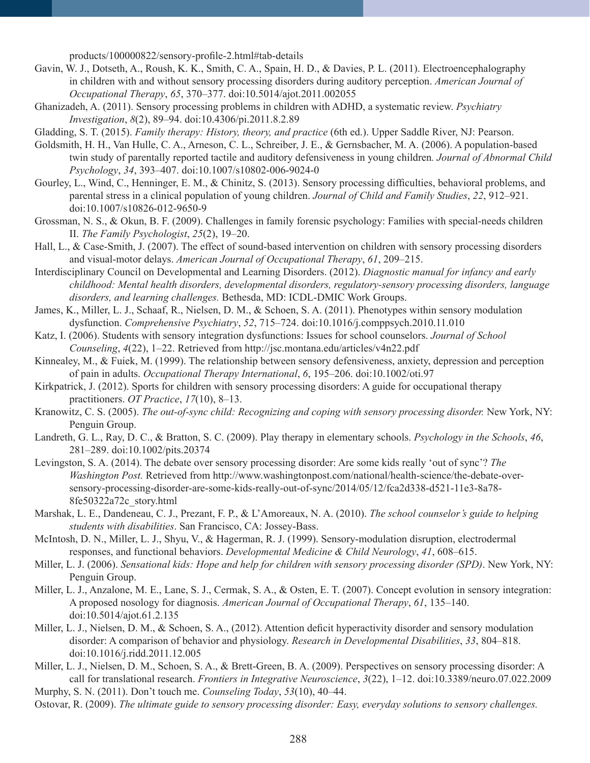products/100000822/sensory-profile-2.html#tab-details

- Gavin, W. J., Dotseth, A., Roush, K. K., Smith, C. A., Spain, H. D., & Davies, P. L. (2011). Electroencephalography in children with and without sensory processing disorders during auditory perception. *American Journal of Occupational Therapy*, *65*, 370–377. doi:10.5014/ajot.2011.002055
- Ghanizadeh, A. (2011). Sensory processing problems in children with ADHD, a systematic review. *Psychiatry Investigation*, *8*(2), 89–94. doi:10.4306/pi.2011.8.2.89

Gladding, S. T. (2015). *Family therapy: History, theory, and practice* (6th ed.). Upper Saddle River, NJ: Pearson.

- Goldsmith, H. H., Van Hulle, C. A., Arneson, C. L., Schreiber, J. E., & Gernsbacher, M. A. (2006). A population-based twin study of parentally reported tactile and auditory defensiveness in young children*. Journal of Abnormal Child Psychology*, *34*, 393–407. doi:10.1007/s10802-006-9024-0
- Gourley, L., Wind, C., Henninger, E. M., & Chinitz, S. (2013). Sensory processing difficulties, behavioral problems, and parental stress in a clinical population of young children. *Journal of Child and Family Studies*, *22*, 912–921. doi:10.1007/s10826-012-9650-9
- Grossman, N. S., & Okun, B. F. (2009). Challenges in family forensic psychology: Families with special-needs children II. *The Family Psychologist*, *25*(2), 19–20.
- Hall, L., & Case-Smith, J. (2007). The effect of sound-based intervention on children with sensory processing disorders and visual-motor delays. *American Journal of Occupational Therapy*, *61*, 209–215.
- Interdisciplinary Council on Developmental and Learning Disorders. (2012). *Diagnostic manual for infancy and early childhood: Mental health disorders, developmental disorders, regulatory-sensory processing disorders, language disorders, and learning challenges.* Bethesda, MD: ICDL-DMIC Work Groups.
- James, K., Miller, L. J., Schaaf, R., Nielsen, D. M., & Schoen, S. A. (2011). Phenotypes within sensory modulation dysfunction. *Comprehensive Psychiatry*, *52*, 715–724. doi:10.1016/j.comppsych.2010.11.010
- Katz, I. (2006). Students with sensory integration dysfunctions: Issues for school counselors. *Journal of School Counseling*, *4*(22), 1–22. Retrieved from http://jsc.montana.edu/articles/v4n22.pdf
- Kinnealey, M., & Fuiek, M. (1999). The relationship between sensory defensiveness, anxiety, depression and perception of pain in adults. *Occupational Therapy International*, *6*, 195–206. doi:10.1002/oti.97
- Kirkpatrick, J. (2012). Sports for children with sensory processing disorders: A guide for occupational therapy practitioners. *OT Practice*, *17*(10), 8–13.
- Kranowitz, C. S. (2005). *The out-of-sync child: Recognizing and coping with sensory processing disorder.* New York, NY: Penguin Group.
- Landreth, G. L., Ray, D. C., & Bratton, S. C. (2009). Play therapy in elementary schools. *Psychology in the Schools*, *46*, 281–289. doi:10.1002/pits.20374
- Levingston, S. A. (2014). The debate over sensory processing disorder: Are some kids really 'out of sync'? *The Washington Post.* Retrieved from http://www.washingtonpost.com/national/health-science/the-debate-oversensory-processing-disorder-are-some-kids-really-out-of-sync/2014/05/12/fca2d338-d521-11e3-8a78- 8fe50322a72c\_story.html
- Marshak, L. E., Dandeneau, C. J., Prezant, F. P., & L'Amoreaux, N. A. (2010). *The school counselor's guide to helping students with disabilities*. San Francisco, CA: Jossey-Bass.
- McIntosh, D. N., Miller, L. J., Shyu, V., & Hagerman, R. J. (1999). Sensory-modulation disruption, electrodermal responses, and functional behaviors. *Developmental Medicine & Child Neurology*, *41*, 608–615.
- Miller, L. J. (2006). *Sensational kids: Hope and help for children with sensory processing disorder (SPD)*. New York, NY: Penguin Group.
- Miller, L. J., Anzalone, M. E., Lane, S. J., Cermak, S. A., & Osten, E. T. (2007). Concept evolution in sensory integration: A proposed nosology for diagnosis. *American Journal of Occupational Therapy*, *61*, 135–140. doi:10.5014/ajot.61.2.135
- Miller, L. J., Nielsen, D. M., & Schoen, S. A., (2012). Attention deficit hyperactivity disorder and sensory modulation disorder: A comparison of behavior and physiology. *Research in Developmental Disabilities*, *33*, 804–818. doi:10.1016/j.ridd.2011.12.005

Miller, L. J., Nielsen, D. M., Schoen, S. A., & Brett-Green, B. A. (2009). Perspectives on sensory processing disorder: A call for translational research. *Frontiers in Integrative Neuroscience*, *3*(22), 1–12. doi:10.3389/neuro.07.022.2009 Murphy, S. N. (2011). Don't touch me. *Counseling Today*, *53*(10), 40–44.

Ostovar, R. (2009). *The ultimate guide to sensory processing disorder: Easy, everyday solutions to sensory challenges.*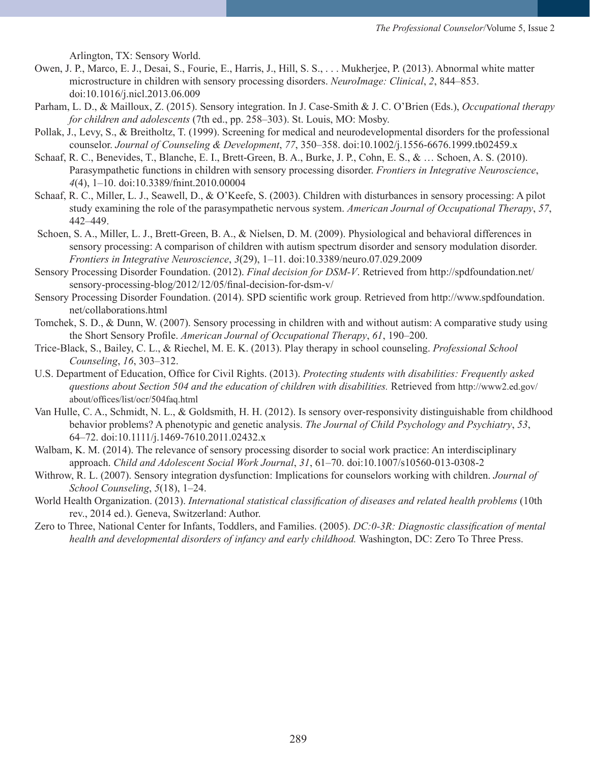Arlington, TX: Sensory World.

- Owen, J. P., Marco, E. J., Desai, S., Fourie, E., Harris, J., Hill, S. S., . . . Mukherjee, P. (2013). Abnormal white matter microstructure in children with sensory processing disorders. *NeuroImage: Clinical*, *2*, 844–853. doi:10.1016/j.nicl.2013.06.009
- Parham, L. D., & Mailloux, Z. (2015). Sensory integration. In J. Case-Smith & J. C. O'Brien (Eds.), *Occupational therapy for children and adolescents* (7th ed., pp. 258–303). St. Louis, MO: Mosby.
- Pollak, J., Levy, S., & Breitholtz, T. (1999). Screening for medical and neurodevelopmental disorders for the professional counselor. *Journal of Counseling & Development*, *77*, 350–358. doi:10.1002/j.1556-6676.1999.tb02459.x
- Schaaf, R. C., Benevides, T., Blanche, E. I., Brett-Green, B. A., Burke, J. P., Cohn, E. S., & … Schoen, A. S. (2010). Parasympathetic functions in children with sensory processing disorder. *Frontiers in Integrative Neuroscience*, *4*(4), 1–10. doi:10.3389/fnint.2010.00004
- Schaaf, R. C., Miller, L. J., Seawell, D., & O'Keefe, S. (2003). Children with disturbances in sensory processing: A pilot study examining the role of the parasympathetic nervous system. *American Journal of Occupational Therapy*, *57*, 442–449.
- Schoen, S. A., Miller, L. J., Brett-Green, B. A., & Nielsen, D. M. (2009). Physiological and behavioral differences in sensory processing: A comparison of children with autism spectrum disorder and sensory modulation disorder. *Frontiers in Integrative Neuroscience*, *3*(29), 1–11. doi:10.3389/neuro.07.029.2009
- Sensory Processing Disorder Foundation. (2012). *Final decision for DSM-V*. Retrieved from http://spdfoundation.net/ sensory-processing-blog/2012/12/05/final-decision-for-dsm-v/
- Sensory Processing Disorder Foundation. (2014). SPD scientific work group. Retrieved from http://www.spdfoundation. net/collaborations.html
- Tomchek, S. D., & Dunn, W. (2007). Sensory processing in children with and without autism: A comparative study using the Short Sensory Profile. *American Journal of Occupational Therapy*, *61*, 190–200.
- Trice-Black, S., Bailey, C. L., & Riechel, M. E. K. (2013). Play therapy in school counseling. *Professional School Counseling*, *16*, 303–312.
- U.S. Department of Education, Office for Civil Rights. (2013). *Protecting students with disabilities: Frequently asked questions about Section 504 and the education of children with disabilities.* Retrieved from http://www2.ed.gov/ about/offices/list/ocr/504faq.html
- Van Hulle, C. A., Schmidt, N. L., & Goldsmith, H. H. (2012). Is sensory over-responsivity distinguishable from childhood behavior problems? A phenotypic and genetic analysis. *The Journal of Child Psychology and Psychiatry*, *53*, 64–72. doi:10.1111/j.1469-7610.2011.02432.x
- Walbam, K. M. (2014). The relevance of sensory processing disorder to social work practice: An interdisciplinary approach. *Child and Adolescent Social Work Journal*, *31*, 61–70. doi:10.1007/s10560-013-0308-2
- Withrow, R. L. (2007). Sensory integration dysfunction: Implications for counselors working with children. *Journal of School Counseling*, *5*(18), 1–24.
- World Health Organization. (2013). *International statistical classification of diseases and related health problems* (10th rev., 2014 ed.). Geneva, Switzerland: Author.
- Zero to Three, National Center for Infants, Toddlers, and Families. (2005). *DC:0-3R: Diagnostic classification of mental health and developmental disorders of infancy and early childhood.* Washington, DC: Zero To Three Press.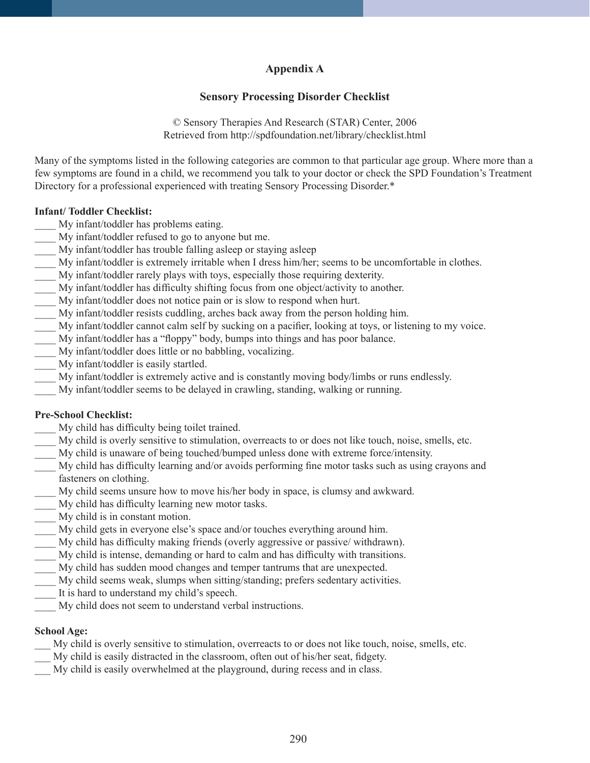# **Appendix A**

## **Sensory Processing Disorder Checklist**

© Sensory Therapies And Research (STAR) Center, 2006 Retrieved from http://spdfoundation.net/library/checklist.html

Many of the symptoms listed in the following categories are common to that particular age group. Where more than a few symptoms are found in a child, we recommend you talk to your doctor or check the SPD Foundation's Treatment Directory for a professional experienced with treating Sensory Processing Disorder.\*

#### **Infant/ Toddler Checklist:**

- My infant/toddler has problems eating.
- \_\_\_\_ My infant/toddler refused to go to anyone but me.
- My infant/toddler has trouble falling asleep or staying asleep
- My infant/toddler is extremely irritable when I dress him/her; seems to be uncomfortable in clothes.
- \_\_\_\_ My infant/toddler rarely plays with toys, especially those requiring dexterity.
- \_\_\_\_ My infant/toddler has difficulty shifting focus from one object/activity to another.
- \_\_\_\_ My infant/toddler does not notice pain or is slow to respond when hurt.
- \_\_\_\_ My infant/toddler resists cuddling, arches back away from the person holding him.
- \_\_\_\_ My infant/toddler cannot calm self by sucking on a pacifier, looking at toys, or listening to my voice.
- My infant/toddler has a "floppy" body, bumps into things and has poor balance.
- My infant/toddler does little or no babbling, vocalizing.
- My infant/toddler is easily startled.
- My infant/toddler is extremely active and is constantly moving body/limbs or runs endlessly.
- My infant/toddler seems to be delayed in crawling, standing, walking or running.

#### **Pre-School Checklist:**

- My child has difficulty being toilet trained.
- \_\_\_\_ My child is overly sensitive to stimulation, overreacts to or does not like touch, noise, smells, etc.
- \_\_\_\_ My child is unaware of being touched/bumped unless done with extreme force/intensity.
- \_\_\_\_ My child has difficulty learning and/or avoids performing fine motor tasks such as using crayons and fasteners on clothing.
- My child seems unsure how to move his/her body in space, is clumsy and awkward.
- \_\_\_\_ My child has difficulty learning new motor tasks.
- \_\_\_\_ My child is in constant motion.
- \_\_\_\_ My child gets in everyone else's space and/or touches everything around him.
- \_\_\_\_ My child has difficulty making friends (overly aggressive or passive/ withdrawn).
- \_\_\_\_ My child is intense, demanding or hard to calm and has difficulty with transitions.
- \_\_\_\_ My child has sudden mood changes and temper tantrums that are unexpected.
- My child seems weak, slumps when sitting/standing; prefers sedentary activities.
- It is hard to understand my child's speech.
- My child does not seem to understand verbal instructions.

## **School Age:**

- \_\_\_ My child is overly sensitive to stimulation, overreacts to or does not like touch, noise, smells, etc.
- \_\_\_ My child is easily distracted in the classroom, often out of his/her seat, fidgety.
- My child is easily overwhelmed at the playground, during recess and in class.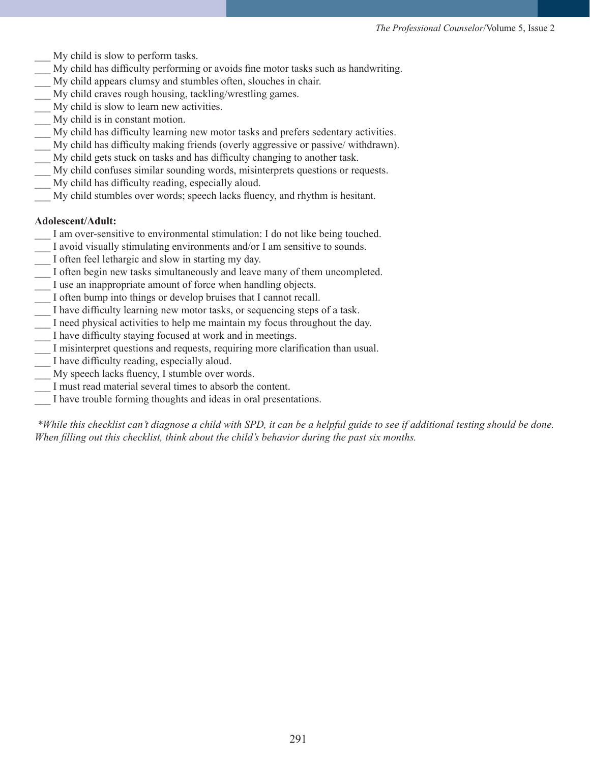- My child is slow to perform tasks.
- \_\_\_ My child has difficulty performing or avoids fine motor tasks such as handwriting.
- My child appears clumsy and stumbles often, slouches in chair.
- My child craves rough housing, tackling/wrestling games.
- My child is slow to learn new activities.
- \_\_\_ My child is in constant motion.
- My child has difficulty learning new motor tasks and prefers sedentary activities.
- \_\_\_ My child has difficulty making friends (overly aggressive or passive/ withdrawn).
- \_\_\_ My child gets stuck on tasks and has difficulty changing to another task.
- \_\_\_ My child confuses similar sounding words, misinterprets questions or requests.
- My child has difficulty reading, especially aloud.
- \_\_\_ My child stumbles over words; speech lacks fluency, and rhythm is hesitant.

## **Adolescent/Adult:**

- I am over-sensitive to environmental stimulation: I do not like being touched.
- I avoid visually stimulating environments and/or I am sensitive to sounds.
- I often feel lethargic and slow in starting my day.
- I often begin new tasks simultaneously and leave many of them uncompleted.
- \_\_\_ I use an inappropriate amount of force when handling objects.
- \_\_\_ I often bump into things or develop bruises that I cannot recall.
- \_\_\_ I have difficulty learning new motor tasks, or sequencing steps of a task.
- I need physical activities to help me maintain my focus throughout the day.
- I have difficulty staying focused at work and in meetings.
- I misinterpret questions and requests, requiring more clarification than usual.
- I have difficulty reading, especially aloud.
- My speech lacks fluency, I stumble over words.
- I must read material several times to absorb the content.
- \_\_\_ I have trouble forming thoughts and ideas in oral presentations.

*\*While this checklist can't diagnose a child with SPD, it can be a helpful guide to see if additional testing should be done. When filling out this checklist, think about the child's behavior during the past six months.*